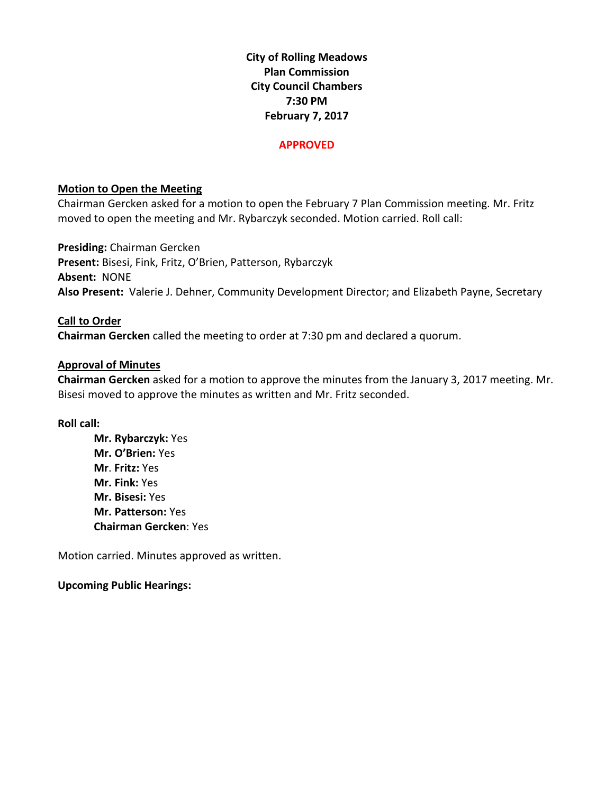**City of Rolling Meadows Plan Commission City Council Chambers 7:30 PM February 7, 2017**

#### **APPROVED**

## **Motion to Open the Meeting**

Chairman Gercken asked for a motion to open the February 7 Plan Commission meeting. Mr. Fritz moved to open the meeting and Mr. Rybarczyk seconded. Motion carried. Roll call:

**Presiding:** Chairman Gercken **Present:** Bisesi, Fink, Fritz, O'Brien, Patterson, Rybarczyk **Absent:** NONE **Also Present:** Valerie J. Dehner, Community Development Director; and Elizabeth Payne, Secretary

# **Call to Order**

**Chairman Gercken** called the meeting to order at 7:30 pm and declared a quorum.

# **Approval of Minutes**

**Chairman Gercken** asked for a motion to approve the minutes from the January 3, 2017 meeting. Mr. Bisesi moved to approve the minutes as written and Mr. Fritz seconded.

#### **Roll call:**

**Mr. Rybarczyk:** Yes **Mr. O'Brien:** Yes **Mr**. **Fritz:** Yes **Mr. Fink:** Yes **Mr. Bisesi:** Yes **Mr. Patterson:** Yes **Chairman Gercken**: Yes

Motion carried. Minutes approved as written.

#### **Upcoming Public Hearings:**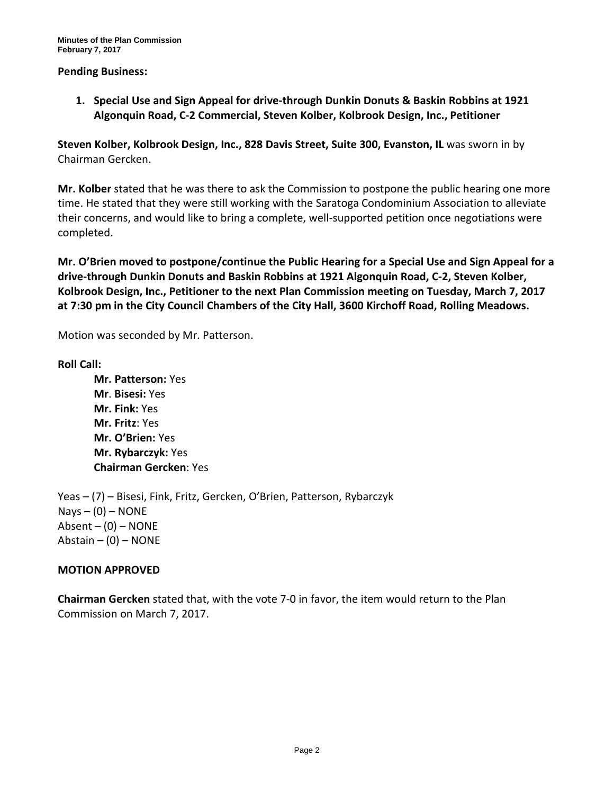#### **Pending Business:**

**1. Special Use and Sign Appeal for drive-through Dunkin Donuts & Baskin Robbins at 1921 Algonquin Road, C-2 Commercial, Steven Kolber, Kolbrook Design, Inc., Petitioner**

**Steven Kolber, Kolbrook Design, Inc., 828 Davis Street, Suite 300, Evanston, IL** was sworn in by Chairman Gercken.

**Mr. Kolber** stated that he was there to ask the Commission to postpone the public hearing one more time. He stated that they were still working with the Saratoga Condominium Association to alleviate their concerns, and would like to bring a complete, well-supported petition once negotiations were completed.

**Mr. O'Brien moved to postpone/continue the Public Hearing for a Special Use and Sign Appeal for a drive-through Dunkin Donuts and Baskin Robbins at 1921 Algonquin Road, C-2, Steven Kolber, Kolbrook Design, Inc., Petitioner to the next Plan Commission meeting on Tuesday, March 7, 2017 at 7:30 pm in the City Council Chambers of the City Hall, 3600 Kirchoff Road, Rolling Meadows.**

Motion was seconded by Mr. Patterson.

#### **Roll Call:**

**Mr. Patterson:** Yes **Mr**. **Bisesi:** Yes **Mr. Fink:** Yes **Mr. Fritz**: Yes **Mr. O'Brien:** Yes **Mr. Rybarczyk:** Yes **Chairman Gercken**: Yes

Yeas – (7) – Bisesi, Fink, Fritz, Gercken, O'Brien, Patterson, Rybarczyk  $Nays - (0) - NONE$ Absent  $-$  (0)  $-$  NONE Abstain  $-$  (0)  $-$  NONE

#### **MOTION APPROVED**

**Chairman Gercken** stated that, with the vote 7-0 in favor, the item would return to the Plan Commission on March 7, 2017.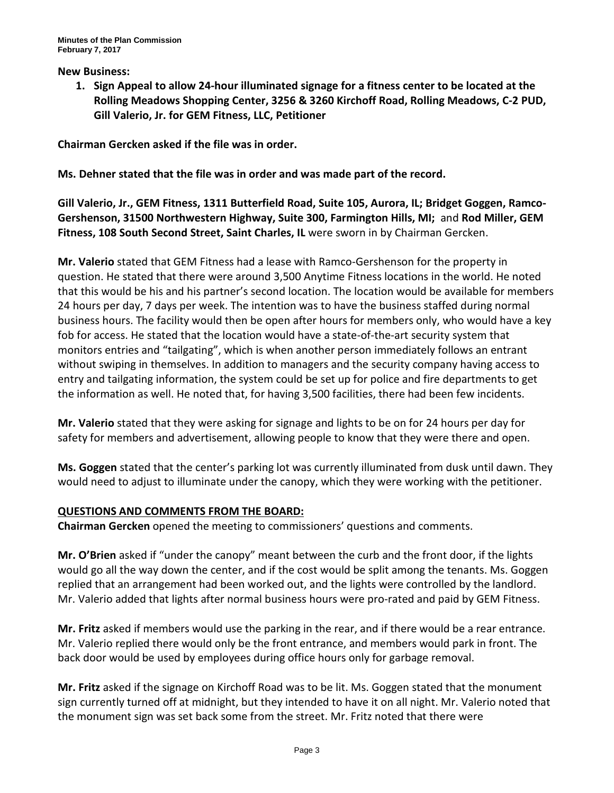#### **New Business:**

**1. Sign Appeal to allow 24-hour illuminated signage for a fitness center to be located at the Rolling Meadows Shopping Center, 3256 & 3260 Kirchoff Road, Rolling Meadows, C-2 PUD, Gill Valerio, Jr. for GEM Fitness, LLC, Petitioner**

**Chairman Gercken asked if the file was in order.**

**Ms. Dehner stated that the file was in order and was made part of the record.**

**Gill Valerio, Jr., GEM Fitness, 1311 Butterfield Road, Suite 105, Aurora, IL; Bridget Goggen, Ramco-Gershenson, 31500 Northwestern Highway, Suite 300, Farmington Hills, MI;** and **Rod Miller, GEM Fitness, 108 South Second Street, Saint Charles, IL** were sworn in by Chairman Gercken.

**Mr. Valerio** stated that GEM Fitness had a lease with Ramco-Gershenson for the property in question. He stated that there were around 3,500 Anytime Fitness locations in the world. He noted that this would be his and his partner's second location. The location would be available for members 24 hours per day, 7 days per week. The intention was to have the business staffed during normal business hours. The facility would then be open after hours for members only, who would have a key fob for access. He stated that the location would have a state-of-the-art security system that monitors entries and "tailgating", which is when another person immediately follows an entrant without swiping in themselves. In addition to managers and the security company having access to entry and tailgating information, the system could be set up for police and fire departments to get the information as well. He noted that, for having 3,500 facilities, there had been few incidents.

**Mr. Valerio** stated that they were asking for signage and lights to be on for 24 hours per day for safety for members and advertisement, allowing people to know that they were there and open.

**Ms. Goggen** stated that the center's parking lot was currently illuminated from dusk until dawn. They would need to adjust to illuminate under the canopy, which they were working with the petitioner.

#### **QUESTIONS AND COMMENTS FROM THE BOARD:**

**Chairman Gercken** opened the meeting to commissioners' questions and comments.

**Mr. O'Brien** asked if "under the canopy" meant between the curb and the front door, if the lights would go all the way down the center, and if the cost would be split among the tenants. Ms. Goggen replied that an arrangement had been worked out, and the lights were controlled by the landlord. Mr. Valerio added that lights after normal business hours were pro-rated and paid by GEM Fitness.

**Mr. Fritz** asked if members would use the parking in the rear, and if there would be a rear entrance. Mr. Valerio replied there would only be the front entrance, and members would park in front. The back door would be used by employees during office hours only for garbage removal.

**Mr. Fritz** asked if the signage on Kirchoff Road was to be lit. Ms. Goggen stated that the monument sign currently turned off at midnight, but they intended to have it on all night. Mr. Valerio noted that the monument sign was set back some from the street. Mr. Fritz noted that there were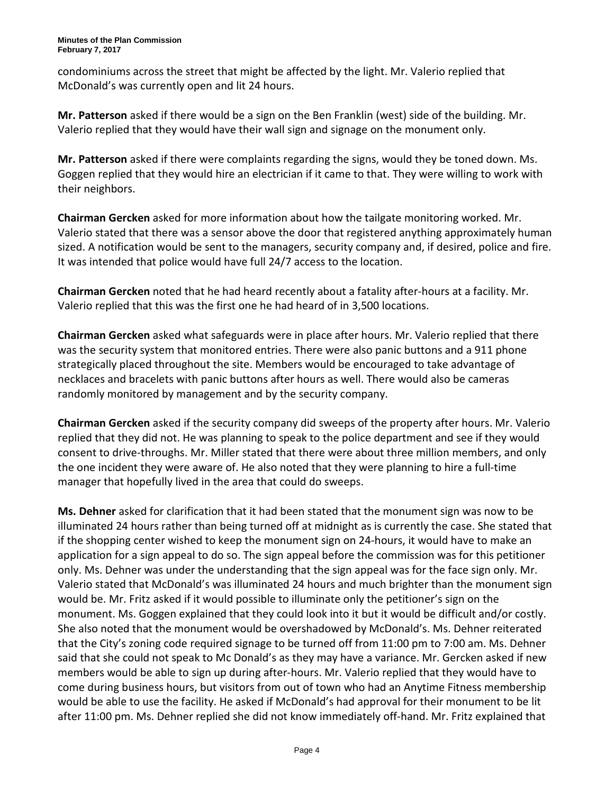condominiums across the street that might be affected by the light. Mr. Valerio replied that McDonald's was currently open and lit 24 hours.

**Mr. Patterson** asked if there would be a sign on the Ben Franklin (west) side of the building. Mr. Valerio replied that they would have their wall sign and signage on the monument only.

**Mr. Patterson** asked if there were complaints regarding the signs, would they be toned down. Ms. Goggen replied that they would hire an electrician if it came to that. They were willing to work with their neighbors.

**Chairman Gercken** asked for more information about how the tailgate monitoring worked. Mr. Valerio stated that there was a sensor above the door that registered anything approximately human sized. A notification would be sent to the managers, security company and, if desired, police and fire. It was intended that police would have full 24/7 access to the location.

**Chairman Gercken** noted that he had heard recently about a fatality after-hours at a facility. Mr. Valerio replied that this was the first one he had heard of in 3,500 locations.

**Chairman Gercken** asked what safeguards were in place after hours. Mr. Valerio replied that there was the security system that monitored entries. There were also panic buttons and a 911 phone strategically placed throughout the site. Members would be encouraged to take advantage of necklaces and bracelets with panic buttons after hours as well. There would also be cameras randomly monitored by management and by the security company.

**Chairman Gercken** asked if the security company did sweeps of the property after hours. Mr. Valerio replied that they did not. He was planning to speak to the police department and see if they would consent to drive-throughs. Mr. Miller stated that there were about three million members, and only the one incident they were aware of. He also noted that they were planning to hire a full-time manager that hopefully lived in the area that could do sweeps.

**Ms. Dehner** asked for clarification that it had been stated that the monument sign was now to be illuminated 24 hours rather than being turned off at midnight as is currently the case. She stated that if the shopping center wished to keep the monument sign on 24-hours, it would have to make an application for a sign appeal to do so. The sign appeal before the commission was for this petitioner only. Ms. Dehner was under the understanding that the sign appeal was for the face sign only. Mr. Valerio stated that McDonald's was illuminated 24 hours and much brighter than the monument sign would be. Mr. Fritz asked if it would possible to illuminate only the petitioner's sign on the monument. Ms. Goggen explained that they could look into it but it would be difficult and/or costly. She also noted that the monument would be overshadowed by McDonald's. Ms. Dehner reiterated that the City's zoning code required signage to be turned off from 11:00 pm to 7:00 am. Ms. Dehner said that she could not speak to Mc Donald's as they may have a variance. Mr. Gercken asked if new members would be able to sign up during after-hours. Mr. Valerio replied that they would have to come during business hours, but visitors from out of town who had an Anytime Fitness membership would be able to use the facility. He asked if McDonald's had approval for their monument to be lit after 11:00 pm. Ms. Dehner replied she did not know immediately off-hand. Mr. Fritz explained that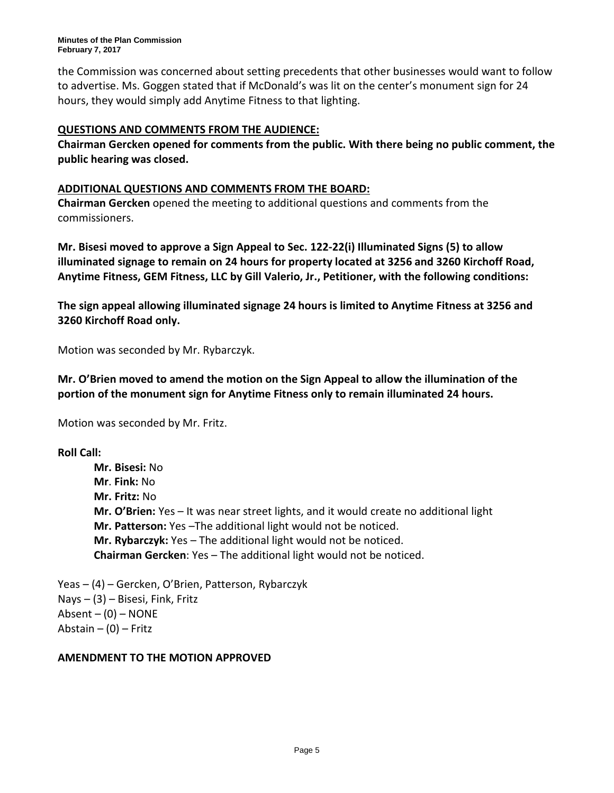**Minutes of the Plan Commission February 7, 2017**

the Commission was concerned about setting precedents that other businesses would want to follow to advertise. Ms. Goggen stated that if McDonald's was lit on the center's monument sign for 24 hours, they would simply add Anytime Fitness to that lighting.

## **QUESTIONS AND COMMENTS FROM THE AUDIENCE:**

**Chairman Gercken opened for comments from the public. With there being no public comment, the public hearing was closed.**

#### **ADDITIONAL QUESTIONS AND COMMENTS FROM THE BOARD:**

**Chairman Gercken** opened the meeting to additional questions and comments from the commissioners.

**Mr. Bisesi moved to approve a Sign Appeal to Sec. 122-22(i) Illuminated Signs (5) to allow illuminated signage to remain on 24 hours for property located at 3256 and 3260 Kirchoff Road, Anytime Fitness, GEM Fitness, LLC by Gill Valerio, Jr., Petitioner, with the following conditions:**

**The sign appeal allowing illuminated signage 24 hours is limited to Anytime Fitness at 3256 and 3260 Kirchoff Road only.**

Motion was seconded by Mr. Rybarczyk.

**Mr. O'Brien moved to amend the motion on the Sign Appeal to allow the illumination of the portion of the monument sign for Anytime Fitness only to remain illuminated 24 hours.**

Motion was seconded by Mr. Fritz.

**Roll Call:**

**Mr. Bisesi:** No **Mr**. **Fink:** No **Mr. Fritz:** No **Mr. O'Brien:** Yes – It was near street lights, and it would create no additional light **Mr. Patterson:** Yes –The additional light would not be noticed. **Mr. Rybarczyk:** Yes – The additional light would not be noticed. **Chairman Gercken**: Yes – The additional light would not be noticed.

Yeas – (4) – Gercken, O'Brien, Patterson, Rybarczyk  $Nays - (3) - Bisesi$ , Fink, Fritz Absent  $-$  (0)  $-$  NONE Abstain  $-$  (0)  $-$  Fritz

#### **AMENDMENT TO THE MOTION APPROVED**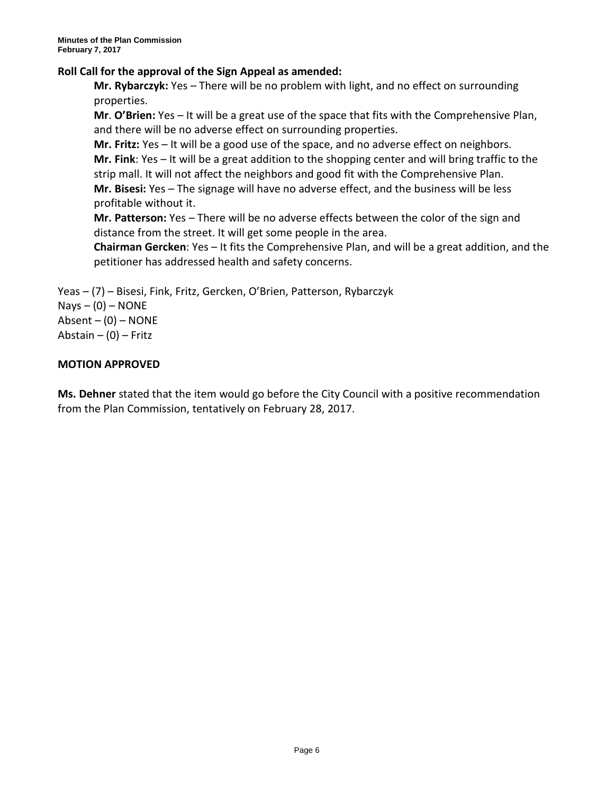## **Roll Call for the approval of the Sign Appeal as amended:**

**Mr. Rybarczyk:** Yes – There will be no problem with light, and no effect on surrounding properties.

**Mr**. **O'Brien:** Yes – It will be a great use of the space that fits with the Comprehensive Plan, and there will be no adverse effect on surrounding properties.

**Mr. Fritz:** Yes – It will be a good use of the space, and no adverse effect on neighbors. **Mr. Fink**: Yes – It will be a great addition to the shopping center and will bring traffic to the strip mall. It will not affect the neighbors and good fit with the Comprehensive Plan.

**Mr. Bisesi:** Yes – The signage will have no adverse effect, and the business will be less profitable without it.

**Mr. Patterson:** Yes – There will be no adverse effects between the color of the sign and distance from the street. It will get some people in the area.

**Chairman Gercken**: Yes – It fits the Comprehensive Plan, and will be a great addition, and the petitioner has addressed health and safety concerns.

Yeas – (7) – Bisesi, Fink, Fritz, Gercken, O'Brien, Patterson, Rybarczyk  $Nays - (0) - NONE$ 

Absent  $-$  (0)  $-$  NONE Abstain  $-$  (0)  $-$  Fritz

# **MOTION APPROVED**

**Ms. Dehner** stated that the item would go before the City Council with a positive recommendation from the Plan Commission, tentatively on February 28, 2017.